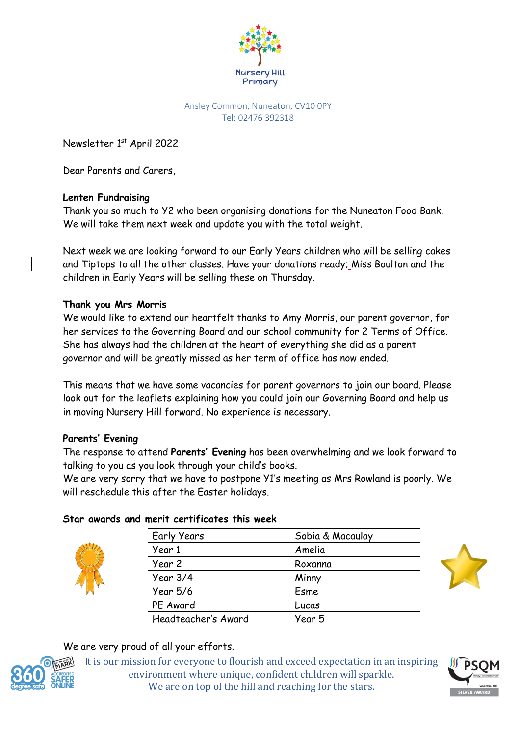

#### Ansley Common, Nuneaton, CV10 0PY Tel: 02476 392318

Newsletter 1<sup>st</sup> April 2022

Dear Parents and Carers,

# **Lenten Fundraising**

Thank you so much to Y2 who been organising donations for the Nuneaton Food Bank. We will take them next week and update you with the total weight.

Next week we are looking forward to our Early Years children who will be selling cakes and Tiptops to all the other classes. Have your donations ready; Miss Boulton and the children in Early Years will be selling these on Thursday.

## **Thank you Mrs Morris**

We would like to extend our heartfelt thanks to Amy Morris, our parent governor, for her services to the Governing Board and our school community for 2 Terms of Office. She has always had the children at the heart of everything she did as a parent governor and will be greatly missed as her term of office has now ended.

This means that we have some vacancies for parent governors to join our board. Please look out for the leaflets explaining how you could join our Governing Board and help us in moving Nursery Hill forward. No experience is necessary.

# **Parents' Evening**

The response to attend **Parents' Evening** has been overwhelming and we look forward to talking to you as you look through your child's books.

We are very sorry that we have to postpone Y1's meeting as Mrs Rowland is poorly. We will reschedule this after the Easter holidays.



### **Star awards and merit certificates this week**

| Sobia & Macaulay |
|------------------|
| Amelia           |
| Roxanna          |
| Minny            |
| Esme             |
| Lucas            |
| Year 5           |
|                  |



# We are very proud of all your efforts.



It is our mission for everyone to flourish and exceed expectation in an inspiring environment where unique, confident children will sparkle. We are on top of the hill and reaching for the stars.